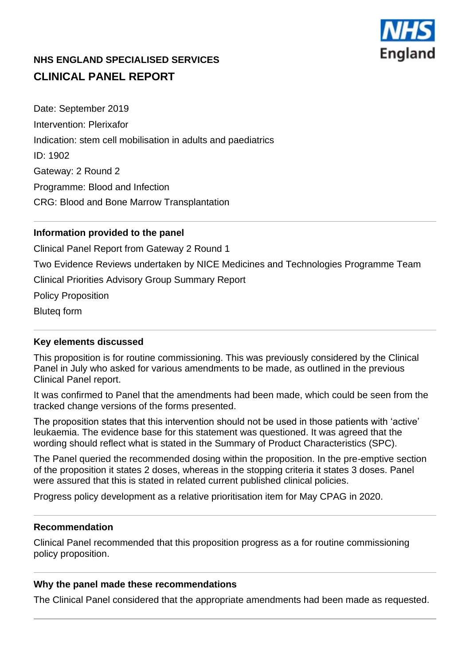

# **NHS ENGLAND SPECIALISED SERVICES CLINICAL PANEL REPORT**

Date: September 2019 Intervention: Plerixafor Indication: stem cell mobilisation in adults and paediatrics ID: 1902 Gateway: 2 Round 2 Programme: Blood and Infection CRG: Blood and Bone Marrow Transplantation

# **Information provided to the panel**

Clinical Panel Report from Gateway 2 Round 1

Two Evidence Reviews undertaken by NICE Medicines and Technologies Programme Team

Clinical Priorities Advisory Group Summary Report

Policy Proposition

Bluteq form

## **Key elements discussed**

This proposition is for routine commissioning. This was previously considered by the Clinical Panel in July who asked for various amendments to be made, as outlined in the previous Clinical Panel report.

It was confirmed to Panel that the amendments had been made, which could be seen from the tracked change versions of the forms presented.

The proposition states that this intervention should not be used in those patients with 'active' leukaemia. The evidence base for this statement was questioned. It was agreed that the wording should reflect what is stated in the Summary of Product Characteristics (SPC).

The Panel queried the recommended dosing within the proposition. In the pre-emptive section of the proposition it states 2 doses, whereas in the stopping criteria it states 3 doses. Panel were assured that this is stated in related current published clinical policies.

Progress policy development as a relative prioritisation item for May CPAG in 2020.

#### **Recommendation**

Clinical Panel recommended that this proposition progress as a for routine commissioning policy proposition.

## **Why the panel made these recommendations**

The Clinical Panel considered that the appropriate amendments had been made as requested.